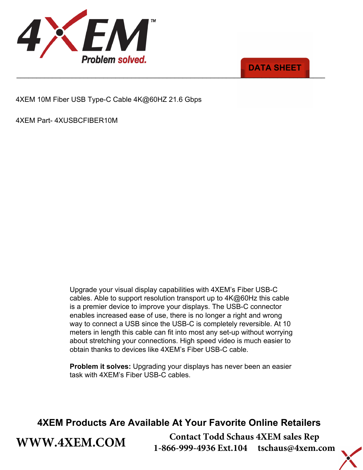



4XEM 10M Fiber USB Type-C Cable 4K@60HZ 21.6 Gbps

4XEM Part- 4XUSBCFIBER10M

**[WWW.4XEM.COM](www.4xem.com)** 

Upgrade your visual display capabilities with 4XEM's Fiber USB-C cables. Able to support resolution transport up to 4K@60Hz this cable is a premier device to improve your displays. The USB-C connector enables increased ease of use, there is no longer a right and wrong way to connect a USB since the USB-C is completely reversible. At 10 meters in length this cable can fit into most any set-up without worrying about stretching your connections. High speed video is much easier to obtain thanks to devices like 4XEM's Fiber USB-C cable.

**Problem it solves:** Upgrading your displays has never been an easier task with 4XEM's Fiber USB-C cables.

## **4XEM Products Are Available At Your Favorite Online Retailers**

**Contact Todd Schaus 4XEM sales Rep 1-866-999-4936 Ext.104 tschaus@4xem.com**

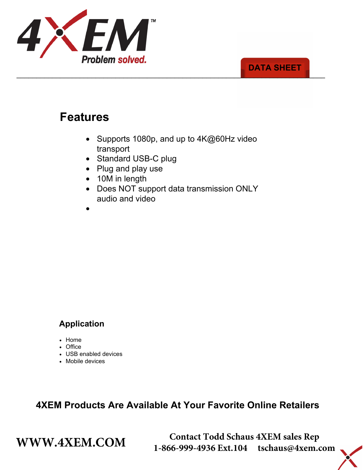

### \_\_\_\_\_\_\_\_\_\_\_\_\_\_\_\_\_\_\_\_\_\_\_\_\_\_\_\_\_\_\_\_\_\_\_\_\_\_\_\_\_\_\_\_\_\_\_\_\_\_\_\_\_\_\_\_\_\_\_\_\_\_\_\_\_\_\_\_\_\_\_\_\_\_\_\_\_\_ **DATA SHEET**

# **Features**

- Supports 1080p, and up to 4K@60Hz video transport
- Standard USB-C plug
- Plug and play use
- 10M in length
- Does NOT support data transmission ONLY audio and video



## **Application**

- Home
- Office
- USB enabled devices
- Mobile devices

**4XEM Products Are Available At Your Favorite Online Retailers**

**WWW.4XEM.COM** <sup>Contact Todd Schaus 4XEM sales Rep<br>1-866-999-4936 Ext.104 tschaus@4xem.com</sup> 1-866-999-4936 Ext.104